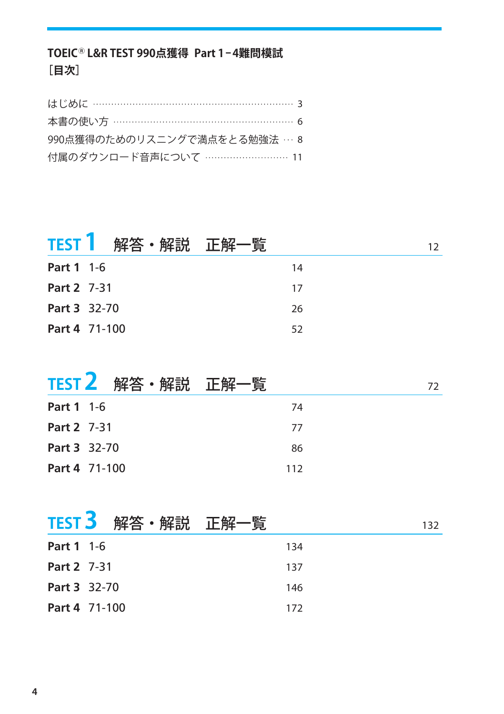# **TOEICⓇ L&R TEST 990点獲得 Part 1-4難問模試 [目次]**

| 本書の使い方 ……………………………………………… 6  |
|------------------------------|
| 990点獲得のためのリスニングで満点をとる勉強法 … 8 |
| 付属のダウンロード音声について …………………… 11  |

|              | TEST   解答・解説 正解一覧 |    | 12. |
|--------------|-------------------|----|-----|
| Part 1 1-6   |                   | 14 |     |
| Part 2 7-31  |                   | 17 |     |
| Part 3 32-70 |                   | 26 |     |
|              | Part 4 71-100     | 52 |     |

|                   | TEST 2 解答・解説 正解一覧 |     | 72 |
|-------------------|-------------------|-----|----|
| <b>Part 1</b> 1-6 |                   | -74 |    |
| Part 2 7-31       |                   | -77 |    |
| Part 3 32-70      |                   | 86  |    |
|                   | Part 4 71-100     | 112 |    |

|                    | TEST 3 解答・解説 正解一覧 | 132 |
|--------------------|-------------------|-----|
| <b>Part 1</b> 1-6  |                   | 134 |
| <b>Part 2</b> 7-31 |                   | 137 |
| Part 3 32-70       |                   | 146 |
|                    | Part 4 71-100     | 172 |